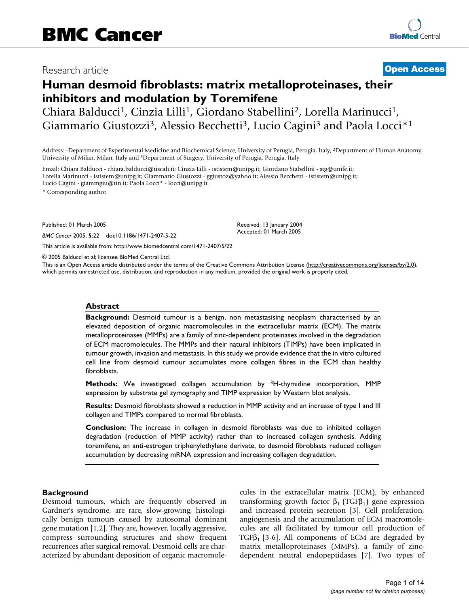## Research article **[Open Access](http://www.biomedcentral.com/info/about/charter/)**

# **Human desmoid fibroblasts: matrix metalloproteinases, their inhibitors and modulation by Toremifene**

Chiara Balducci<sup>1</sup>, Cinzia Lilli<sup>1</sup>, Giordano Stabellini<sup>2</sup>, Lorella Marinucci<sup>1</sup>, Giammario Giustozzi<sup>3</sup>, Alessio Becchetti<sup>3</sup>, Lucio Cagini<sup>3</sup> and Paola Locci<sup>\*1</sup>

Address: 1Department of Experimental Medicine and Biochemical Science, University of Perugia, Perugia, Italy, 2Department of Human Anatomy, University of Milan, Milan, Italy and 3Department of Surgery, University of Perugia, Perugia, Italy

Email: Chiara Balducci - chiara.balducci@tiscali.it; Cinzia Lilli - ististem@unipg.it; Giordano Stabellini - stg@unife.it; Lorella Marinucci - ististem@unipg.it; Giammario Giustozzi - ggiustoz@yahoo.it; Alessio Becchetti - ististem@unipg.it; Lucio Cagini - giammgiu@tin.it; Paola Locci\* - locci@unipg.it

\* Corresponding author

Published: 01 March 2005

*BMC Cancer* 2005, **5**:22 doi:10.1186/1471-2407-5-22

[This article is available from: http://www.biomedcentral.com/1471-2407/5/22](http://www.biomedcentral.com/1471-2407/5/22)

© 2005 Balducci et al; licensee BioMed Central Ltd.

This is an Open Access article distributed under the terms of the Creative Commons Attribution License [\(http://creativecommons.org/licenses/by/2.0\)](http://creativecommons.org/licenses/by/2.0), which permits unrestricted use, distribution, and reproduction in any medium, provided the original work is properly cited.

Received: 13 January 2004 Accepted: 01 March 2005

#### **Abstract**

**Background:** Desmoid tumour is a benign, non metastasising neoplasm characterised by an elevated deposition of organic macromolecules in the extracellular matrix (ECM). The matrix metalloproteinases (MMPs) are a family of zinc-dependent proteinases involved in the degradation of ECM macromolecules. The MMPs and their natural inhibitors (TIMPs) have been implicated in tumour growth, invasion and metastasis. In this study we provide evidence that the in vitro cultured cell line from desmoid tumour accumulates more collagen fibres in the ECM than healthy fibroblasts.

**Methods:** We investigated collagen accumulation by 3H-thymidine incorporation, MMP expression by substrate gel zymography and TIMP expression by Western blot analysis.

**Results:** Desmoid fibroblasts showed a reduction in MMP activity and an increase of type I and III collagen and TIMPs compared to normal fibroblasts.

**Conclusion:** The increase in collagen in desmoid fibroblasts was due to inhibited collagen degradation (reduction of MMP activity) rather than to increased collagen synthesis. Adding toremifene, an anti-estrogen triphenylethylene derivate, to desmoid fibroblasts reduced collagen accumulation by decreasing mRNA expression and increasing collagen degradation.

## **Background**

Desmoid tumours, which are frequently observed in Gardner's syndrome, are rare, slow-growing, histologically benign tumours caused by autosomal dominant gene mutation [1,2]. They are, however, locally aggressive, compress surrounding structures and show frequent recurrences after surgical removal. Desmoid cells are characterized by abundant deposition of organic macromolecules in the extracellular matrix (ECM), by enhanced transforming growth factor  $β_1$  (TGF $β_1$ ) gene expression and increased protein secretion [3]. Cell proliferation, angiogenesis and the accumulation of ECM macromolecules are all facilitated by tumour cell production of TGF $\beta_1$  [3-6]. All components of ECM are degraded by matrix metalloproteinases (MMPs), a family of zincdependent neutral endopeptidases [7]. Two types of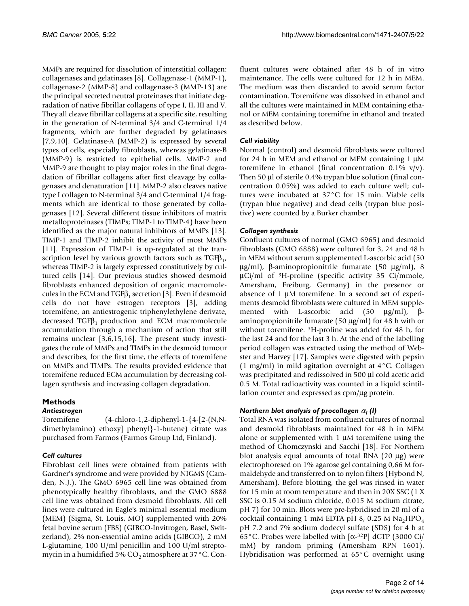MMPs are required for dissolution of interstitial collagen: collagenases and gelatinases [8]. Collagenase-1 (MMP-1), collagenase-2 (MMP-8) and collagenase-3 (MMP-13) are the principal secreted neutral proteinases that initiate degradation of native fibrillar collagens of type I, II, III and V. They all cleave fibrillar collagens at a specific site, resulting in the generation of N-terminal 3/4 and C-terminal 1/4 fragments, which are further degraded by gelatinases [7,9,10]. Gelatinase-A (MMP-2) is expressed by several types of cells, especially fibroblasts, whereas gelatinase-B (MMP-9) is restricted to epithelial cells. MMP-2 and MMP-9 are thought to play major roles in the final degradation of fibrillar collagens after first cleavage by collagenases and denaturation [11]. MMP-2 also cleaves native type I collagen to N-terminal 3/4 and C-terminal 1/4 fragments which are identical to those generated by collagenases [12]. Several different tissue inhibitors of matrix metalloproteinases (TIMPs; TIMP-1 to TIMP-4) have been identified as the major natural inhibitors of MMPs [13]. TIMP-1 and TIMP-2 inhibit the activity of most MMPs [11]. Expression of TIMP-1 is up-regulated at the transcription level by various growth factors such as  $TGF_{1}$ , whereas TIMP-2 is largely expressed constitutively by cultured cells [14]. Our previous studies showed desmoid fibroblasts enhanced deposition of organic macromolecules in the ECM and TGF $\beta_1$  secretion [3]. Even if desmoid cells do not have estrogen receptors [3], adding toremifene, an antiestrogenic triphenylethylene derivate, decreased  $TGFβ<sub>1</sub>$  production and ECM macromolecule accumulation through a mechanism of action that still remains unclear [3,6,15,16]. The present study investigates the rule of MMPs and TIMPs in the desmoid tumour and describes, for the first time, the effects of toremifene on MMPs and TIMPs. The results provided evidence that toremifene reduced ECM accumulation by decreasing collagen synthesis and increasing collagen degradation.

## **Methods**

## *Antiestrogen*

Toremifene (4-chloro-1,2-diphenyl-1-{4-[2-(N,Ndimethylamino) ethoxy] phenyl}-1-butene) citrate was purchased from Farmos (Farmos Group Ltd, Finland).

## *Cell cultures*

Fibroblast cell lines were obtained from patients with Gardner's syndrome and were provided by NIGMS (Camden, N.J.). The GMO 6965 cell line was obtained from phenotypically healthy fibroblasts, and the GMO 6888 cell line was obtained from desmoid fibroblasts. All cell lines were cultured in Eagle's minimal essential medium (MEM) (Sigma, St. Louis, MO) supplemented with 20% fetal bovine serum (FBS) (GIBCO-Invitrogen, Basel, Switzerland), 2% non-essential amino acids (GIBCO), 2 mM L-glutamine, 100 U/ml penicillin and 100 U/ml streptomycin in a humidified 5%  $CO<sub>2</sub>$  atmosphere at 37°C. Confluent cultures were obtained after 48 h of in vitro maintenance. The cells were cultured for 12 h in MEM. The medium was then discarded to avoid serum factor contamination. Toremifene was dissolved in ethanol and all the cultures were maintained in MEM containing ethanol or MEM containing toremifne in ethanol and treated as described below.

## *Cell viability*

Normal (control) and desmoid fibroblasts were cultured for 24 h in MEM and ethanol or MEM containing  $1 \mu$ M toremifene in ethanol (final concentration  $0.1\%$  v/v). Then 50 µl of sterile 0.4% trypan blue solution (final concentration 0.05%) was added to each culture well; cultures were incubated at 37°C for 15 min. Viable cells (trypan blue negative) and dead cells (trypan blue positive) were counted by a Burker chamber.

## *Collagen synthesis*

Confluent cultures of normal (GMO 6965) and desmoid fibroblasts (GMO 6888) were cultured for 3, 24 and 48 h in MEM without serum supplemented L-ascorbic acid (50 µg/ml), β-aminopropionitrile fumarate (50 µg/ml), 8 µCi/ml of 3H-proline (specific activity 35 Ci/mmole, Amersham, Freiburg, Germany) in the presence or absence of 1 µM toremifene. In a second set of experiments desmoid fibroblasts were cultured in MEM supplemented with L-ascorbic acid (50 µg/ml), βaminopropionitrile fumarate (50 µg/ml) for 48 h with or without toremifene. 3H-proline was added for 48 h, for the last 24 and for the last 3 h. At the end of the labelling period collagen was extracted using the method of Webster and Harvey [17]. Samples were digested with pepsin (1 mg/ml) in mild agitation overnight at 4°C. Collagen was precipitated and redissolved in 500 µl cold acetic acid 0.5 M. Total radioactivity was counted in a liquid scintillation counter and expressed as cpm/µg protein.

## *Northern blot analysis of procollagen* α*1 (I)*

Total RNA was isolated from confluent cultures of normal and desmoid fibroblasts maintained for 48 h in MEM alone or supplemented with 1 µM toremifene using the method of Chomczynski and Sacchi [18]. For Northern blot analysis equal amounts of total RNA (20 µg) were electrophoresed on 1% agarose gel containing 0,66 M formaldehyde and transferred on to nylon filters (Hybond N, Amersham). Before blotting, the gel was rinsed in water for 15 min at room temperature and then in 20X SSC (1 X SSC is 0.15 M sodium chloride, 0.015 M sodium citrate, pH 7) for 10 min. Blots were pre-hybridised in 20 ml of a cocktail containing 1 mM EDTA pH 8, 0.25 M  $Na<sub>2</sub>HPO<sub>4</sub>$ pH 7.2 and 7% sodium dodecyl sulfate (SDS) for 4 h at 65°C. Probes were labelled with [α-32P] dCTP (3000 Ci/ mM) by random priming (Amersham RPN 1601). Hybridisation was performed at 65°C overnight using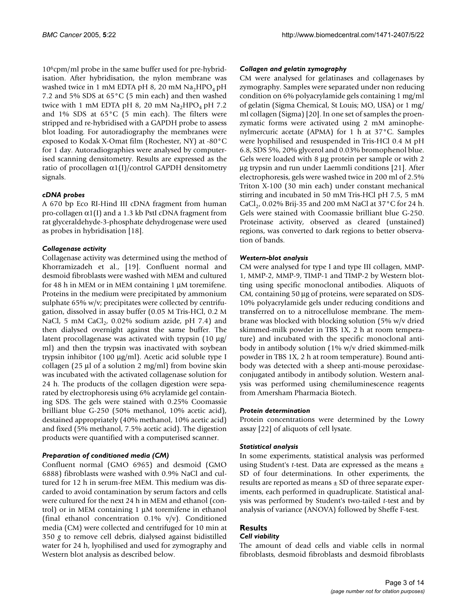106cpm/ml probe in the same buffer used for pre-hybridisation. After hybridisation, the nylon membrane was washed twice in 1 mM EDTA pH 8, 20 mM  $Na<sub>2</sub>HPO<sub>4</sub>$  pH 7.2 and 5% SDS at 65°C (5 min each) and then washed twice with 1 mM EDTA pH 8, 20 mM  $\text{Na}_2\text{HPO}_4$  pH 7.2 and  $1\%$  SDS at  $65^{\circ}$ C (5 min each). The filters were stripped and re-hybridised with a GAPDH probe to assess blot loading. For autoradiography the membranes were exposed to Kodak X-Omat film (Rochester, NY) at -80°C for 1 day. Autoradiographies were analysed by computerised scanning densitometry. Results are expressed as the ratio of procollagen  $\alpha$ 1(I)/control GAPDH densitometry signals.

## *cDNA probes*

A 670 bp Eco RI-Hind III cDNA fragment from human pro-collagen  $\alpha$ 1(I) and a 1.3 kb PstI cDNA fragment from rat glyceraldehyde-3-phosphate dehydrogenase were used as probes in hybridisation [18].

## *Collagenase activity*

Collagenase activity was determined using the method of Khorramizadeh et al., [19]. Confluent normal and desmoid fibroblasts were washed with MEM and cultured for 48 h in MEM or in MEM containing 1 µM toremifene. Proteins in the medium were precipitated by ammonium sulphate 65% w/v; precipitates were collected by centrifugation, dissolved in assay buffer (0.05 M Tris-HCl, 0.2 M NaCl, 5 mM CaCl $_2$ , 0.02% sodium azide, pH 7.4) and then dialysed overnight against the same buffer. The latent procollagenase was activated with trypsin (10 µg/ ml) and then the trypsin was inactivated with soybean trypsin inhibitor (100 µg/ml). Acetic acid soluble type I collagen (25  $\mu$ l of a solution 2 mg/ml) from bovine skin was incubated with the activated collagenase solution for 24 h. The products of the collagen digestion were separated by electrophoresis using 6% acrylamide gel containing SDS. The gels were stained with 0.25% Coomassie brilliant blue G-250 (50% methanol, 10% acetic acid), destained appropriately (40% methanol, 10% acetic acid) and fixed (5% methanol, 7.5% acetic acid). The digestion products were quantified with a computerised scanner.

## *Preparation of conditioned media (CM)*

Confluent normal (GMO 6965) and desmoid (GMO 6888) fibroblasts were washed with 0.9% NaCl and cultured for 12 h in serum-free MEM. This medium was discarded to avoid contamination by serum factors and cells were cultured for the next 24 h in MEM and ethanol (control) or in MEM containing 1 µM toremifene in ethanol (final ethanol concentration  $0.1\%$  v/v). Conditioned media (CM) were collected and centrifuged for 10 min at 350 *g* to remove cell debris, dialysed against bidistilled water for 24 h, lyophilised and used for zymography and Western blot analysis as described below.

## *Collagen and gelatin zymography*

CM were analysed for gelatinases and collagenases by zymography. Samples were separated under non reducing condition on 6% polyacrylamide gels containing 1 mg/ml of gelatin (Sigma Chemical, St Louis; MO, USA) or 1 mg/ ml collagen (Sigma) [20]. In one set of samples the proenzymatic forms were activated using 2 mM aminophenylmercuric acetate (APMA) for 1 h at 37°C. Samples were lyophilised and resuspended in Tris-HCl 0.4 M pH 6.8, SDS 5%, 20% glycerol and 0.03% bromophenol blue. Gels were loaded with 8 µg protein per sample or with 2 µg trypsin and run under Laemmli conditions [21]. After electrophoresis, gels were washed twice in 200 ml of 2.5% Triton X-100 (30 min each) under constant mechanical stirring and incubated in 50 mM Tris-HCl pH 7.5, 5 mM CaCl<sub>2</sub>, 0.02% Brij-35 and 200 mM NaCl at 37 °C for 24 h. Gels were stained with Coomassie brilliant blue G-250. Proteinase activity, observed as cleared (unstained) regions, was converted to dark regions to better observation of bands.

## *Western-blot analysis*

CM were analysed for type I and type III collagen, MMP-1, MMP-2, MMP-9, TIMP-1 and TIMP-2 by Western blotting using specific monoclonal antibodies. Aliquots of CM, containing 50 µg of proteins, were separated on SDS-10% polyacrylamide gels under reducing conditions and transferred on to a nitrocellulose membrane. The membrane was blocked with blocking solution (5% w/v dried skimmed-milk powder in TBS 1X, 2 h at room temperature) and incubated with the specific monoclonal antibody in antibody solution (1% w/v dried skimmed-milk powder in TBS 1X, 2 h at room temperature). Bound antibody was detected with a sheep anti-mouse peroxidaseconjugated antibody in antibody solution. Western analysis was performed using chemiluminescence reagents from Amersham Pharmacia Biotech.

## *Protein determination*

Protein concentrations were determined by the Lowry assay [22] of aliquots of cell lysate.

## *Statistical analysis*

In some experiments, statistical analysis was performed using Student's *t*-test. Data are expressed as the means ± SD of four determinations. In other experiments, the results are reported as means  $\pm$  SD of three separate experiments, each performed in quadruplicate. Statistical analysis was performed by Student's two-tailed *t*-test and by analysis of variance (ANOVA) followed by Sheffe F-test.

## **Results**

### *Cell viability*

The amount of dead cells and viable cells in normal fibroblasts, desmoid fibroblasts and desmoid fibroblasts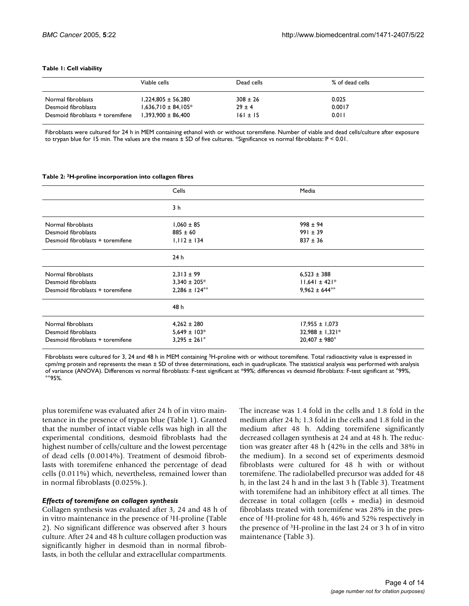#### <span id="page-3-0"></span>**Table 1: Cell viability**

|                                  | Viable cells            | Dead cells   | % of dead cells |
|----------------------------------|-------------------------|--------------|-----------------|
| Normal fibroblasts               | $1.224.805 \pm 56.280$  | $308 \pm 26$ | 0.025           |
| Desmoid fibroblasts              | $1.636.710 \pm 84.105*$ | $29 \pm 4$   | 0.0017          |
| Desmoid fibroblasts + toremifene | $1.393.900 \pm 86.400$  | $161 \pm 15$ | 0.011           |

Fibroblasts were cultured for 24 h in MEM containing ethanol with or without toremifene. Number of viable and dead cells/culture after exposure to trypan blue for 15 min. The values are the means  $\pm$  SD of five cultures. \*Significance vs normal fibroblasts: P < 0.01.

#### <span id="page-3-1"></span>**Table 2: 3H-proline incorporation into collagen fibres**

|                                  | Cells                   | Media                    |
|----------------------------------|-------------------------|--------------------------|
|                                  | 3 h                     |                          |
| Normal fibroblasts               | $1,060 \pm 85$          | $998 \pm 94$             |
| Desmoid fibroblasts              | $885 \pm 60$            | $991 \pm 39$             |
| Desmoid fibroblasts + toremifene | $1,112 \pm 134$         | $837 \pm 36$             |
|                                  | 24h                     |                          |
| Normal fibroblasts               | $2,313 \pm 99$          | $6,523 \pm 388$          |
| Desmoid fibroblasts              | $3,340 \pm 205$ *       | $11,641 \pm 421$ *       |
| Desmoid fibroblasts + toremifene | $2,286 \pm 124^{\circ}$ | $9.962 \pm 644^{\circ}$  |
|                                  | 48 h                    |                          |
| Normal fibroblasts               | $4,262 \pm 280$         | $17,955 \pm 1,073$       |
| Desmoid fibroblasts              | $5,649 \pm 103*$        | $32,988 \pm 1,321*$      |
| Desmoid fibroblasts + toremifene | $3,295 \pm 261^{\circ}$ | $20,407 \pm 980^{\circ}$ |

Fibroblasts were cultured for 3, 24 and 48 h in MEM containing 3H-proline with or without toremifene. Total radioactivity value is expressed in  $c$ pm/mg protein and represents the mean  $\pm$  SD of three determinations, each in quadruplicate. The statistical analysis was performed with analysis of variance (ANOVA). Differences vs normal fibroblasts: F-test significant at \*99%; differences vs desmoid fibroblasts: F-test significant at °99%,  $^{\circ}$ °95%.

plus toremifene was evaluated after 24 h of in vitro maintenance in the presence of trypan blue (Table [1\)](#page-3-0). Granted that the number of intact viable cells was high in all the experimental conditions, desmoid fibroblasts had the highest number of cells/culture and the lowest percentage of dead cells (0.0014%). Treatment of desmoid fibroblasts with toremifene enhanced the percentage of dead cells (0.011%) which, nevertheless, remained lower than in normal fibroblasts (0.025%.).

#### *Effects of toremifene on collagen synthesis*

Collagen synthesis was evaluated after 3, 24 and 48 h of in vitro maintenance in the presence of 3H-proline (Table [2\)](#page-3-1). No significant difference was observed after 3 hours culture. After 24 and 48 h culture collagen production was significantly higher in desmoid than in normal fibroblasts, in both the cellular and extracellular compartments.

The increase was 1.4 fold in the cells and 1.8 fold in the medium after 24 h; 1.3 fold in the cells and 1.8 fold in the medium after 48 h. Adding toremifene significantly decreased collagen synthesis at 24 and at 48 h. The reduction was greater after 48 h (42% in the cells and 38% in the medium). In a second set of experiments desmoid fibroblasts were cultured for 48 h with or without toremifene. The radiolabelled precursor was added for 48 h, in the last 24 h and in the last 3 h (Table 3). Treatment with toremifene had an inhibitory effect at all times. The decrease in total collagen (cells + media) in desmoid fibroblasts treated with toremifene was 28% in the presence of 3H-proline for 48 h, 46% and 52% respectively in the presence of 3H-proline in the last 24 or 3 h of in vitro maintenance (Table 3).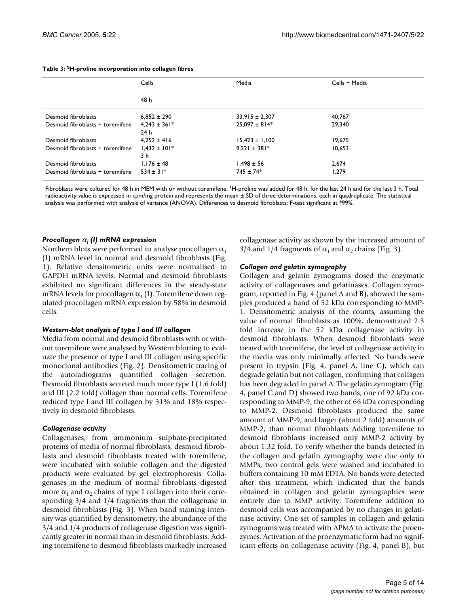|                                  | Cells                   | Media              | Cells + Media |
|----------------------------------|-------------------------|--------------------|---------------|
|                                  | 48 h                    |                    |               |
| Desmoid fibroblasts              | $6.852 \pm 290$         | $33.915 \pm 2.307$ | 40,767        |
| Desmoid fibroblasts + toremifene | $4.243 \pm 361*$<br>24h | $25,097 \pm 814$ * | 29,340        |
| Desmoid fibroblasts              | $4.252 \pm 416$         | $15,423 \pm 1,100$ | 19.675        |
| Desmoid fibroblasts + toremifene | $1.432 \pm 101*$<br>3 h | $9.221 \pm 381*$   | 10.653        |
| Desmoid fibroblasts              | $1.176 \pm 48$          | $1.498 \pm 56$     | 2.674         |
| Desmoid fibroblasts + toremifene | $534 \pm 31*$           | $745 \pm 74*$      | 1.279         |

#### **Table 3: 3H-proline incorporation into collagen fibres**

Fibroblasts were cultured for 48 h in MEM with or without toremifene. 3H-proline was added for 48 h, for the last 24 h and for the last 3 h. Total radioactivity value is expressed in cpm/mg protein and represents the mean ± SD of three determinations, each in quadruplicate. The statistical analysis was performed with analysis of variance (ANOVA). Differences vs desmoid fibroblasts: F-test significant at \*99%.

#### *Procollagen* α*1 (I) mRNA expression*

Northern blots were performed to analyse procollagen  $\alpha_1$ (I) mRNA level in normal and desmoid fibroblasts (Fig. [1\)](#page-5-0). Relative densitometric units were normalised to GAPDH mRNA levels. Normal and desmoid fibroblasts exhibited no significant differences in the steady-state mRNA levels for procollagen  $\alpha_1$  (I). Toremifene down regulated procollagen mRNA expression by 58% in desmoid cells.

#### *Western-blot analysis of type I and III collagen*

Media from normal and desmoid fibroblasts with or without toremifene were analysed by Western blotting to evaluate the presence of type I and III collagen using specific monoclonal antibodies (Fig. [2\)](#page-6-0). Densitometric tracing of the autoradiograms quantified collagen secretion. Desmoid fibroblasts secreted much more type I (1.6 fold) and III (2.2 fold) collagen than normal cells. Toremifene reduced type I and III collagen by 31% and 18% respectively in desmoid fibroblasts.

## *Collagenase activity*

Collagenases, from ammonium sulphate-precipitated proteins of media of normal fibroblasts, desmoid fibroblasts and desmoid fibroblasts treated with toremifene, were incubated with soluble collagen and the digested products were evaluated by gel electrophoresis. Collagenases in the medium of normal fibroblasts digested more  $α_1$  and  $α_2$  chains of type I collagen into their corresponding 3/4 and 1/4 fragments than the collagenase in desmoid fibroblasts (Fig. [3\)](#page-7-0). When band staining intensity was quantified by densitometry, the abundance of the 3/4 and 1/4 products of collagenase digestion was significantly greater in normal than in desmoid fibroblasts. Adding toremifene to desmoid fibroblasts markedly increased collagenase activity as shown by the increased amount of [3](#page-7-0)/4 and 1/4 fragments of  $\alpha_1$  and  $\alpha_2$  chains (Fig. 3).

## *Collagen and gelatin zymography*

Collagen and gelatin zymograms dosed the enzymatic activity of collagenases and gelatinases. Collagen zymogram, reported in Fig. 4 (panel A and B), showed the samples produced a band of 52 kDa corresponding to MMP-1. Densitometric analysis of the counts, assuming the value of normal fibroblasts as 100%, demonstrated 2.3 fold increase in the 52 kDa collagenase activity in desmoid fibroblasts. When desmoid fibroblasts were treated with toremifene, the level of collagenase activity in the media was only minimally affected. No bands were present in trypsin (Fig. 4, panel A, line C), which can degrade gelatin but not collagen, confirming that collagen has been degraded in panel A. The gelatin zymogram (Fig. 4, panel C and D) showed two bands, one of 92 kDa corresponding to MMP-9, the other of 66 kDa corresponding to MMP-2. Desmoid fibroblasts produced the same amount of MMP-9, and larger (about 2 fold) amounts of MMP-2, than normal fibroblasts Adding toremifene to desmoid fibroblasts increased only MMP-2 activity by about 1.32 fold. To verify whether the bands detected in the collagen and gelatin zymography were due only to MMPs, two control gels were washed and incubated in buffers containing 10 mM EDTA. No bands were detected after this treatment, which indicated that the bands obtained in collagen and gelatin zymographies were entirely due to MMP activity. Toremifene addition to desmoid cells was accompanied by no changes in gelatinase activity. One set of samples in collagen and gelatin zymograms was treated with APMA to activate the proenzymes. Activation of the proenzymatic form had no significant effects on collagenase activity (Fig. 4, panel B), but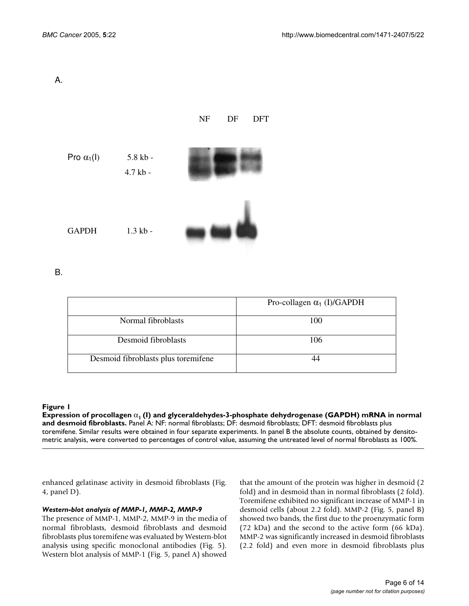<span id="page-5-0"></span>A.



B.

|                                     | Pro-collagen $\alpha_1$ (I)/GAPDH |
|-------------------------------------|-----------------------------------|
| Normal fibroblasts                  | 100                               |
| Desmoid fibroblasts                 | 106                               |
| Desmoid fibroblasts plus toremifene |                                   |

**Expression of procollagen and glyceraldehydes-3-phosphate dehydes-3-phosphate dehydrogenase (GAPDH) mRNA in normal and desmoidelydes-3-phosphate dehydes-3-phosphate dehydrogenase (GAPDH) mRNA in normal and design and desi Expression of procollagen** α**1 (I) and glyceraldehydes-3-phosphate dehydrogenase (GAPDH) mRNA in normal and desmoid fibroblasts.** Panel A: NF: normal fibroblasts; DF: desmoid fibroblasts; DFT: desmoid fibroblasts plus toremifene. Similar results were obtained in four separate experiments. In panel B the absolute counts, obtained by densitometric analysis, were converted to percentages of control value, assuming the untreated level of normal fibroblasts as 100%.

enhanced gelatinase activity in desmoid fibroblasts (Fig. 4, panel D).

## *Western-blot analysis of MMP-1, MMP-2, MMP-9*

The presence of MMP-1, MMP-2, MMP-9 in the media of normal fibroblasts, desmoid fibroblasts and desmoid fibroblasts plus toremifene was evaluated by Western-blot analysis using specific monoclonal antibodies (Fig. 5). Western blot analysis of MMP-1 (Fig. 5, panel A) showed

that the amount of the protein was higher in desmoid (2 fold) and in desmoid than in normal fibroblasts (2 fold). Toremifene exhibited no significant increase of MMP-1 in desmoid cells (about 2.2 fold). MMP-2 (Fig. 5, panel B) showed two bands, the first due to the proenzymatic form (72 kDa) and the second to the active form (66 kDa). MMP-2 was significantly increased in desmoid fibroblasts (2.2 fold) and even more in desmoid fibroblasts plus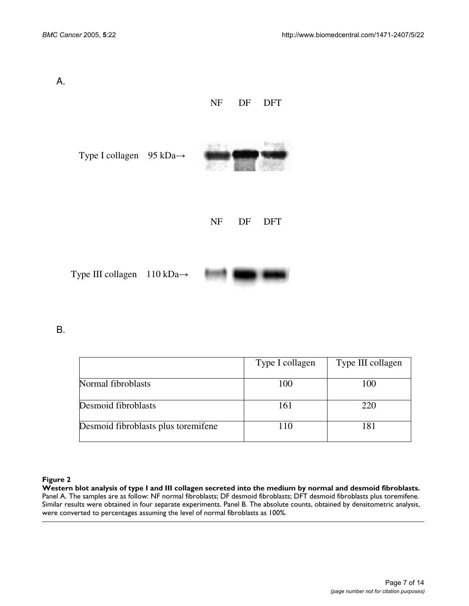<span id="page-6-0"></span>

| А. |                                                 | NF DF<br><b>DFT</b>           |
|----|-------------------------------------------------|-------------------------------|
|    | Type I collagen $95 \text{ kDa} \rightarrow$    |                               |
|    |                                                 | <b>NF</b><br>DF<br><b>DFT</b> |
|    | Type III collagen $110 \text{ kDa} \rightarrow$ |                               |

B.

|                                     | Type I collagen | Type III collagen |
|-------------------------------------|-----------------|-------------------|
| Normal fibroblasts                  | 100             | 100               |
| Desmoid fibroblasts                 | 161             | 220               |
| Desmoid fibroblasts plus toremifene | 110             | 181               |

## Western blot analysis of type I and **Figure 2** III collagen secreted into the medium by normal and desmoid fibroblasts

**Western blot analysis of type I and III collagen secreted into the medium by normal and desmoid fibroblasts.**  Panel A. The samples are as follow: NF normal fibroblasts; DF desmoid fibroblasts; DFT desmoid fibroblasts plus toremifene. Similar results were obtained in four separate experiments. Panel B. The absolute counts, obtained by densitometric analysis, were converted to percentages assuming the level of normal fibroblasts as 100%.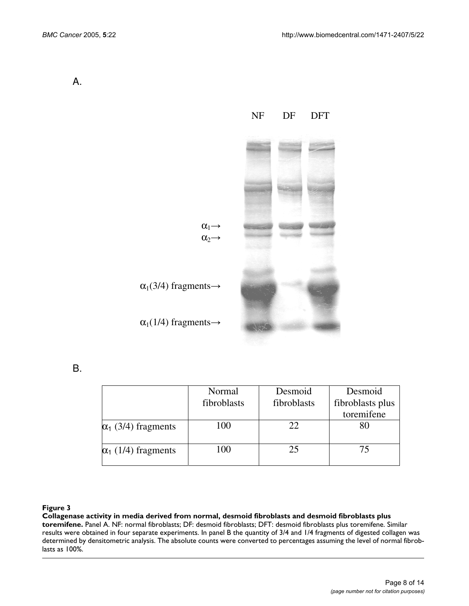<span id="page-7-0"></span>A.



B.

|                            | Normal<br>fibroblasts | Desmoid<br>fibroblasts | Desmoid<br>fibroblasts plus<br>toremifene |
|----------------------------|-----------------------|------------------------|-------------------------------------------|
| $\alpha_1$ (3/4) fragments | 100                   | 22                     | 80                                        |
| $\alpha_1$ (1/4) fragments | 100                   | 25                     | 75                                        |

## **Figure 3** Collagenase activity in media derived from normal, desmoid fibroblasts and desmoid fibroblasts plus toremifene

**Collagenase activity in media derived from normal, desmoid fibroblasts and desmoid fibroblasts plus toremifene.** Panel A. NF: normal fibroblasts; DF: desmoid fibroblasts; DFT: desmoid fibroblasts plus toremifene. Similar results were obtained in four separate experiments. In panel B the quantity of 3/4 and 1/4 fragments of digested collagen was determined by densitometric analysis. The absolute counts were converted to percentages assuming the level of normal fibroblasts as 100%.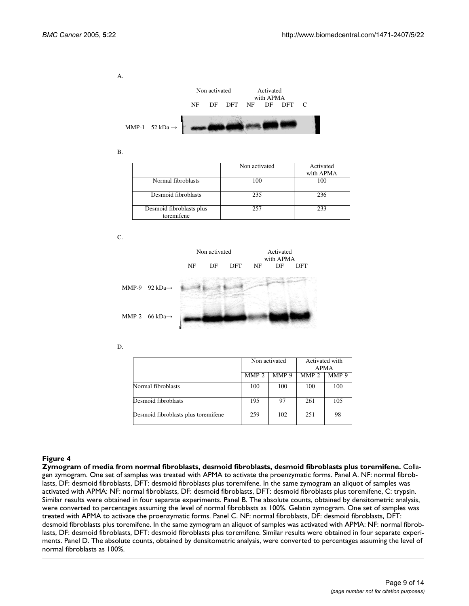A.



B.

|                                        | Non activated | Activated<br>with APMA |
|----------------------------------------|---------------|------------------------|
| Normal fibroblasts                     | 100           | 100                    |
| Desmoid fibroblasts                    | 235           | 236                    |
| Desmoid fibroblasts plus<br>toremifene | 257           | 233                    |

C.



D.

|                                     | Non activated |         | Activated with |         |
|-------------------------------------|---------------|---------|----------------|---------|
|                                     |               |         | <b>APMA</b>    |         |
|                                     | $MMP-2$       | $MMP-9$ | $MMP-2$        | $MMP-9$ |
| Normal fibroblasts                  | 100           | 100     | 100            | 100     |
| Desmoid fibroblasts                 | 195           | 97      | 261            | 105     |
| Desmoid fibroblasts plus toremifene | 259           | 102     | 251            | 98      |

### Zymogram of media from normal fibroblasts, desmoi **Figure 4** d fibroblasts, desmoid fibroblasts plus toremifene

**Zymogram of media from normal fibroblasts, desmoid fibroblasts, desmoid fibroblasts plus toremifene.** Collagen zymogram. One set of samples was treated with APMA to activate the proenzymatic forms. Panel A. NF: normal fibroblasts, DF: desmoid fibroblasts, DFT: desmoid fibroblasts plus toremifene. In the same zymogram an aliquot of samples was activated with APMA: NF: normal fibroblasts, DF: desmoid fibroblasts, DFT: desmoid fibroblasts plus toremifene, C: trypsin. Similar results were obtained in four separate experiments. Panel B. The absolute counts, obtained by densitometric analysis, were converted to percentages assuming the level of normal fibroblasts as 100%. Gelatin zymogram. One set of samples was treated with APMA to activate the proenzymatic forms. Panel C. NF: normal fibroblasts, DF: desmoid fibroblasts, DFT: desmoid fibroblasts plus toremifene. In the same zymogram an aliquot of samples was activated with APMA: NF: normal fibroblasts, DF: desmoid fibroblasts, DFT: desmoid fibroblasts plus toremifene. Similar results were obtained in four separate experiments. Panel D. The absolute counts, obtained by densitometric analysis, were converted to percentages assuming the level of normal fibroblasts as 100%.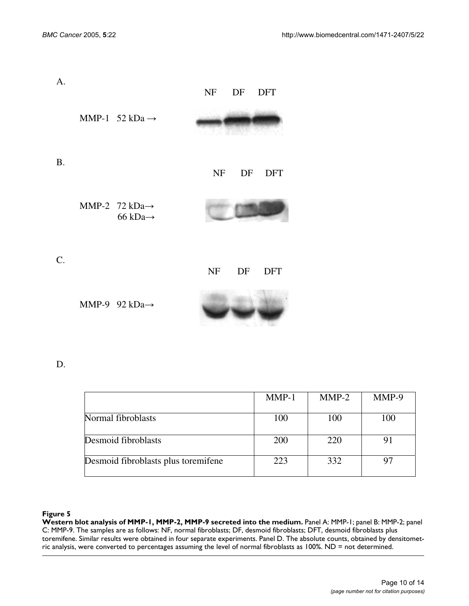| A.                           | NF DF DFT |
|------------------------------|-----------|
| MMP-1 $52$ kDa $\rightarrow$ |           |

B.

NF DF DFT

MMP-2 72 kDa→ 66 kDa→



C.

NF DF DFT

MMP-9 92 kDa $\rightarrow$ 



D.

|                                     | $MMP-1$ | $MMP-2$ | MMP-9 |
|-------------------------------------|---------|---------|-------|
| Normal fibroblasts                  | 100     | 100     | 100   |
| Desmoid fibroblasts                 | 200     | 220     | -91   |
| Desmoid fibroblasts plus toremifene | 223     | 332     |       |

## Figure 5

Western blot analysis of MMP-1, MMP-2, MMP-9 secreted into the medium. Panel A: MMP-1; panel B: MMP-2; panel C: MMP-9. The samples are as follows: NF, normal fibroblasts; DF, desmoid fibroblasts; DFT, desmoid fibroblasts plus toremifene. Similar results were obtained in four separate experiments. Panel D. The absolute counts, obtained by densitometric analysis, were converted to percentages assuming the level of normal fibroblasts as 100%. ND = not determined.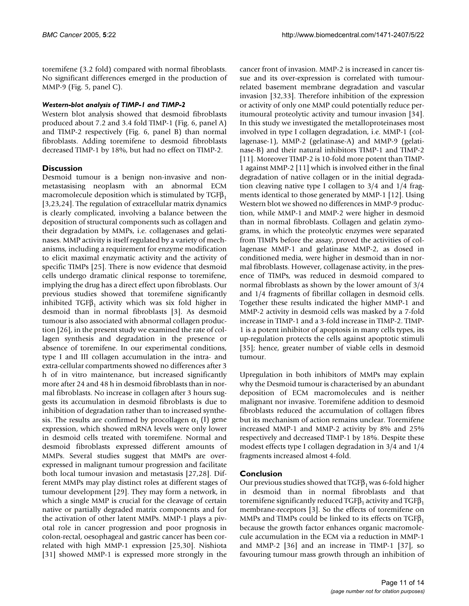toremifene (3.2 fold) compared with normal fibroblasts. No significant differences emerged in the production of MMP-9 (Fig. 5, panel C).

## *Western-blot analysis of TIMP-1 and TIMP-2*

Western blot analysis showed that desmoid fibroblasts produced about 7.2 and 3.4 fold TIMP-1 (Fig. [6](#page-11-0), panel A) and TIMP-2 respectively (Fig. [6,](#page-11-0) panel B) than normal fibroblasts. Adding toremifene to desmoid fibroblasts decreased TIMP-1 by 18%, but had no effect on TIMP-2.

## **Discussion**

Desmoid tumour is a benign non-invasive and nonmetastasising neoplasm with an abnormal ECM macromolecule deposition which is stimulated by  $TGF\beta_1$ [3,23,24]. The regulation of extracellular matrix dynamics is clearly complicated, involving a balance between the deposition of structural components such as collagen and their degradation by MMPs, i.e. collagenases and gelatinases. MMP activity is itself regulated by a variety of mechanisms, including a requirement for enzyme modification to elicit maximal enzymatic activity and the activity of specific TIMPs [25]. There is now evidence that desmoid cells undergo dramatic clinical response to toremifene, implying the drug has a direct effect upon fibroblasts. Our previous studies showed that toremifene significantly inhibited TGF $\beta_1$  activity which was six fold higher in desmoid than in normal fibroblasts [3]. As desmoid tumour is also associated with abnormal collagen production [26], in the present study we examined the rate of collagen synthesis and degradation in the presence or absence of toremifene. In our experimental conditions, type I and III collagen accumulation in the intra- and extra-cellular compartments showed no differences after 3 h of in vitro maintenance, but increased significantly more after 24 and 48 h in desmoid fibroblasts than in normal fibroblasts. No increase in collagen after 3 hours suggests its accumulation in desmoid fibroblasts is due to inhibition of degradation rather than to increased synthesis. The results are confirmed by procollagen  $\alpha_1$  (I) gene expression, which showed mRNA levels were only lower in desmoid cells treated with toremifene. Normal and desmoid fibroblasts expressed different amounts of MMPs. Several studies suggest that MMPs are overexpressed in malignant tumour progression and facilitate both local tumour invasion and metastasis [27,28]. Different MMPs may play distinct roles at different stages of tumour development [29]. They may form a network, in which a single MMP is crucial for the cleavage of certain native or partially degraded matrix components and for the activation of other latent MMPs. MMP-1 plays a pivotal role in cancer progression and poor prognosis in colon-rectal, oesophageal and gastric cancer has been correlated with high MMP-1 expression [25,30]. Nishiota [31] showed MMP-1 is expressed more strongly in the cancer front of invasion. MMP-2 is increased in cancer tissue and its over-expression is correlated with tumourrelated basement membrane degradation and vascular invasion [32,33]. Therefore inhibition of the expression or activity of only one MMP could potentially reduce peritumoural proteolytic activity and tumour invasion [34]. In this study we investigated the metalloproteinases most involved in type I collagen degradation, i.e. MMP-1 (collagenase-1), MMP-2 (gelatinase-A) and MMP-9 (gelatinase-B) and their natural inhibitors TIMP-1 and TIMP-2 [11]. Moreover TIMP-2 is 10-fold more potent than TIMP-1 against MMP-2 [11] which is involved either in the final degradation of native collagen or in the initial degradation cleaving native type I collagen to 3/4 and 1/4 fragments identical to those generated by MMP-1 [12]. Using Western blot we showed no differences in MMP-9 production, while MMP-1 and MMP-2 were higher in desmoid than in normal fibroblasts. Collagen and gelatin zymograms, in which the proteolytic enzymes were separated from TIMPs before the assay, proved the activities of collagenase MMP-1 and gelatinase MMP-2, as dosed in conditioned media, were higher in desmoid than in normal fibroblasts. However, collagenase activity, in the presence of TIMPs, was reduced in desmoid compared to normal fibroblasts as shown by the lower amount of 3/4 and 1/4 fragments of fibrillar collagen in desmoid cells. Together these results indicated the higher MMP-1 and MMP-2 activity in desmoid cells was masked by a 7-fold increase in TIMP-1 and a 3-fold increase in TIMP-2. TIMP-1 is a potent inhibitor of apoptosis in many cells types, its up-regulation protects the cells against apoptotic stimuli [35]; hence, greater number of viable cells in desmoid tumour.

Upregulation in both inhibitors of MMPs may explain why the Desmoid tumour is characterised by an abundant deposition of ECM macromolecules and is neither malignant nor invasive. Toremifene addition to desmoid fibroblasts reduced the accumulation of collagen fibres but its mechanism of action remains unclear. Toremifene increased MMP-1 and MMP-2 activity by 8% and 25% respectively and decreased TIMP-1 by 18%. Despite these modest effects type I collagen degradation in 3/4 and 1/4 fragments increased almost 4-fold.

## **Conclusion**

Our previous studies showed that  $TGF\beta_1$  was 6-fold higher in desmoid than in normal fibroblasts and that toremifene significantly reduced TGF $\beta_1$  activity and TGF $\beta_1$ membrane-receptors [3]. So the effects of toremifene on MMPs and TIMPs could be linked to its effects on  $TGF_{1}$ because the growth factor enhances organic macromolecule accumulation in the ECM via a reduction in MMP-1 and MMP-2 [36] and an increase in TIMP-1 [37], so favouring tumour mass growth through an inhibition of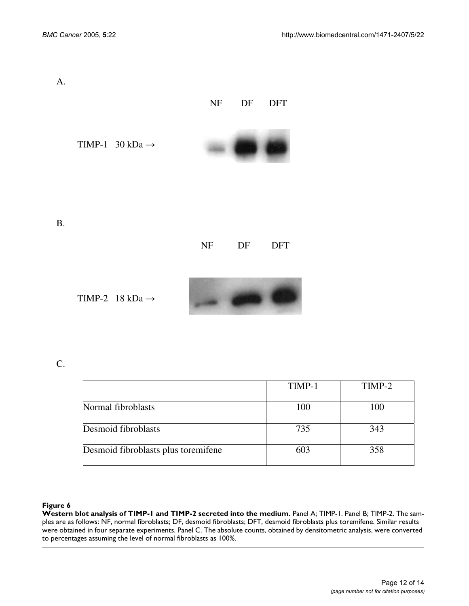<span id="page-11-0"></span>

| A.        |                                     |           | NF DF DFT |  |  |
|-----------|-------------------------------------|-----------|-----------|--|--|
|           | TIMP-1 $30 \text{ kDa} \rightarrow$ |           |           |  |  |
|           |                                     |           |           |  |  |
| <b>B.</b> |                                     | NF DF DFT |           |  |  |
|           |                                     |           |           |  |  |

TIMP-2 18 kDa  $\rightarrow$ 



C.

|                                     | TIMP-1 | TIMP-2 |
|-------------------------------------|--------|--------|
| Normal fibroblasts                  | 100    | 100    |
| Desmoid fibroblasts                 | 735    | 343    |
| Desmoid fibroblasts plus toremifene | 603    | 358    |

## Figure 6

Western blot analysis of TIMP-1 and TIMP-2 secreted into the medium. Panel A; TIMP-1. Panel B; TIMP-2. The samples are as follows: NF, normal fibroblasts; DF, desmoid fibroblasts; DFT, desmoid fibroblasts plus toremifene. Similar results were obtained in four separate experiments. Panel C. The absolute counts, obtained by densitometric analysis, were converted to percentages assuming the level of normal fibroblasts as 100%.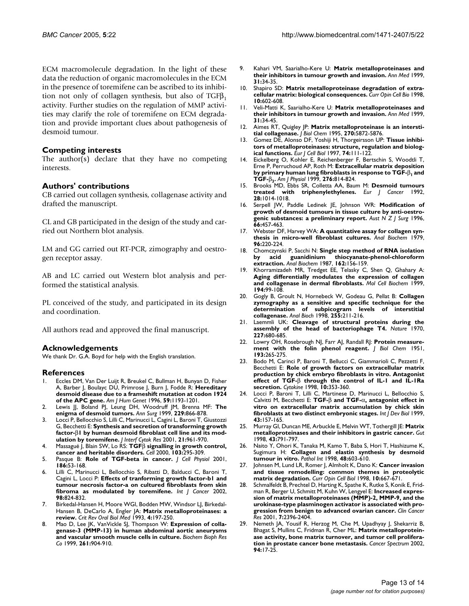ECM macromolecule degradation. In the light of these data the reduction of organic macromolecules in the ECM in the presence of toremifene can be ascribed to its inhibition not only of collagen synthesis, but also of  $TGF\beta_1$ activity. Further studies on the regulation of MMP activities may clarify the role of toremifene on ECM degradation and provide important clues about pathogenesis of desmoid tumour.

#### **Competing interests**

The author(s) declare that they have no competing interests.

## **Authors' contributions**

CB carried out collagen synthesis, collagenase activity and drafted the manuscript.

CL and GB participated in the design of the study and carried out Northern blot analysis.

LM and GG carried out RT-PCR, zimography and oestrogen receptor assay.

AB and LC carried out Western blot analysis and performed the statistical analysis.

PL conceived of the study, and participated in its design and coordination.

All authors read and approved the final manuscript.

#### **Acknowledgements**

We thank Dr. G.A. Boyd for help with the English translation.

## **References**

- 1. Eccles DM, Van Der Luijt R, Breukel C, Bullman H, Bunyan D, Fisher A, Barber J, Boulayc DU, Primrose J, Burn J, Fodde R: **[Hereditary](http://www.ncbi.nlm.nih.gov/entrez/query.fcgi?cmd=Retrieve&db=PubMed&dopt=Abstract&list_uids=8940264) [desmoid disease due to a frameshift mutation at codon 1924](http://www.ncbi.nlm.nih.gov/entrez/query.fcgi?cmd=Retrieve&db=PubMed&dopt=Abstract&list_uids=8940264) [of the APC gene.](http://www.ncbi.nlm.nih.gov/entrez/query.fcgi?cmd=Retrieve&db=PubMed&dopt=Abstract&list_uids=8940264)** *Am J Hum Genet* 1996, **59:**1193-1201.
- 2. Lewis JJ, Boland PJ, Leung DH, Woodruff JM, Brenna MF: **[The](http://www.ncbi.nlm.nih.gov/entrez/query.fcgi?cmd=Retrieve&db=PubMed&dopt=Abstract&list_uids=10363901) [enigma of desmoid tumors.](http://www.ncbi.nlm.nih.gov/entrez/query.fcgi?cmd=Retrieve&db=PubMed&dopt=Abstract&list_uids=10363901)** *Ann Surg* 1999, **229:**866-878.
- 3. Locci P, Bellocchio S, Lilli C, Marinucci L, Cagini L, Baroni T, Giustozzi G, Becchetti E: **Synthesis and secretion of transforming growth factor-**β**1 by human desmoid fibroblast cell line and its modulation by toremifene.** *J Interf Cytok Res* 2001, **21:**961-970.
- 4. Massagué J, Blain SW, Lo RS: **TGF**β **[signalling in growth control,](http://www.ncbi.nlm.nih.gov/entrez/query.fcgi?cmd=Retrieve&db=PubMed&dopt=Abstract&list_uids=11057902) [cancer and heritable disorders.](http://www.ncbi.nlm.nih.gov/entrez/query.fcgi?cmd=Retrieve&db=PubMed&dopt=Abstract&list_uids=11057902)** *Cell* 2000, **103:**295-309.
- 5. Pasque B: **[Role of TGF-beta in cancer.](http://www.ncbi.nlm.nih.gov/entrez/query.fcgi?cmd=Retrieve&db=PubMed&dopt=Abstract&list_uids=11147814)** *J Cell Physiol* 2001, **186:**53-168.
- Lilli C, Marinucci L, Bellocchio S, Ribatti D, Balducci C, Baroni T, Cagini L, Locci P: **[Effects of tranforming growth factor-b1 and](http://www.ncbi.nlm.nih.gov/entrez/query.fcgi?cmd=Retrieve&db=PubMed&dopt=Abstract&list_uids=11948458) [tumour necrosis factor-a on cultured fibroblasts from skin](http://www.ncbi.nlm.nih.gov/entrez/query.fcgi?cmd=Retrieve&db=PubMed&dopt=Abstract&list_uids=11948458) [fibroma as modulated by toremifene.](http://www.ncbi.nlm.nih.gov/entrez/query.fcgi?cmd=Retrieve&db=PubMed&dopt=Abstract&list_uids=11948458)** *Int J Cancer* 2002, **98:**824-832.
- 7. Birkedal-Hansen H, Moore WGl, Bodden MW, Windsor LJ, Birkedal-Hansen B, DeCarlo A, Engler JA: **[Matrix metalloproteinases: a](http://www.ncbi.nlm.nih.gov/entrez/query.fcgi?cmd=Retrieve&db=PubMed&dopt=Abstract&list_uids=8435466) [review.](http://www.ncbi.nlm.nih.gov/entrez/query.fcgi?cmd=Retrieve&db=PubMed&dopt=Abstract&list_uids=8435466)** *Crit Rev Oral Biol Med* 1993, **4:**197-250.
- 8. Mao D, Lee JK, VanVickle SJ, Thompson W: **Expression of collagenase-3 (MMP-13) in human abdominal aortic aneurysms and vascular smooth muscle cells in culture.** *Biochem Bioph Res Co* 1999, **261:**904-910.
- 9. Kahari VM, Saarialho-Kere U: **[Matrix metalloproteinases and](http://www.ncbi.nlm.nih.gov/entrez/query.fcgi?cmd=Retrieve&db=PubMed&dopt=Abstract&list_uids=10219712) [their inhibitors in tumour growth and invasion.](http://www.ncbi.nlm.nih.gov/entrez/query.fcgi?cmd=Retrieve&db=PubMed&dopt=Abstract&list_uids=10219712)** *Ann Med* 1999, **31:**34-35.
- 10. Shapiro SD: **Matrix metalloproteinase degradation of extracellular matrix: biological consequences.** *Curr Opin Cell Bio* 1998, **10:**602-608.
- 11. Veli-Matti K, Saarialho-Kere U: **Matrix metalloproteinases and their inhibitors in tumour growth and invasion.** *Ann Med* 1999, **31:**34-45.
- 12. Aimes RT, Quigley JP: **[Matrix metalloproteinase is an intersti](http://www.ncbi.nlm.nih.gov/entrez/query.fcgi?cmd=Retrieve&db=PubMed&dopt=Abstract&list_uids=7890717)[tial collagenase.](http://www.ncbi.nlm.nih.gov/entrez/query.fcgi?cmd=Retrieve&db=PubMed&dopt=Abstract&list_uids=7890717)** *J Biol Chem* 1995, **270:**5872-5876.
- 13. Gomez DE, Alonso DF, Yoshiji H, Thorgeirsson UP: **[Tissue inhibi](http://www.ncbi.nlm.nih.gov/entrez/query.fcgi?cmd=Retrieve&db=PubMed&dopt=Abstract&list_uids=9352216)[tors of metalloproteinases: structure, regulation and biolog](http://www.ncbi.nlm.nih.gov/entrez/query.fcgi?cmd=Retrieve&db=PubMed&dopt=Abstract&list_uids=9352216)[ical functions.](http://www.ncbi.nlm.nih.gov/entrez/query.fcgi?cmd=Retrieve&db=PubMed&dopt=Abstract&list_uids=9352216)** *Eur J Cell Biol* 1997, **74:**111-122.
- 14. Eickelberg O, Kohler E, Reichenberger F, Bertschin S, Woodtli T, Erne P, Perruchoud AP, Roth M: **Extracellular matrix deposition by primary human lung fibroblasts in response to TGF-**β**1 and TGF-**β**3.** *Am J Physiol* 1999, **276:**814-824.
- 15. Brooks MD, Ebbs SR, Colletta AA, Baum M: **Desmoid tumours treated with triphenylethylenes.** *Eur J Cancer* 1992, **28:**1014-1018.
- 16. Serpell JW, Paddle Ledinek JE, Johnson WR: **[Modification of](http://www.ncbi.nlm.nih.gov/entrez/query.fcgi?cmd=Retrieve&db=PubMed&dopt=Abstract&list_uids=8678875) [growth of desmoid tumours in tissue culture by anti-oestro](http://www.ncbi.nlm.nih.gov/entrez/query.fcgi?cmd=Retrieve&db=PubMed&dopt=Abstract&list_uids=8678875)[genic substances: a preliminary report.](http://www.ncbi.nlm.nih.gov/entrez/query.fcgi?cmd=Retrieve&db=PubMed&dopt=Abstract&list_uids=8678875)** *Aust N Z J Surg* 1996, **66:**457-463.
- 17. Webster DF, Harvey WA: **[A quantitative assay for collagen syn](http://www.ncbi.nlm.nih.gov/entrez/query.fcgi?cmd=Retrieve&db=PubMed&dopt=Abstract&list_uids=495986)[thesis in micro-well fibroblast cultures.](http://www.ncbi.nlm.nih.gov/entrez/query.fcgi?cmd=Retrieve&db=PubMed&dopt=Abstract&list_uids=495986)** *Anal Biochem* 1979, **96:**220-224.
- 18. Chomczynski P, Sacchi N: **[Single step method of RNA isolation](http://www.ncbi.nlm.nih.gov/entrez/query.fcgi?cmd=Retrieve&db=PubMed&dopt=Abstract&list_uids=2440339) [by acid guanidinium thiocyanate-phenol-chloroform](http://www.ncbi.nlm.nih.gov/entrez/query.fcgi?cmd=Retrieve&db=PubMed&dopt=Abstract&list_uids=2440339) [extraction.](http://www.ncbi.nlm.nih.gov/entrez/query.fcgi?cmd=Retrieve&db=PubMed&dopt=Abstract&list_uids=2440339)** *Anal Biochem* 1987, **162:**156-159.
- 19. Khorramizadeh MR, Tredget EE, Telasky C, Shen Q, Ghahary A: **[Aging differentially modulates the expression of collagen](http://www.ncbi.nlm.nih.gov/entrez/query.fcgi?cmd=Retrieve&db=PubMed&dopt=Abstract&list_uids=10391129) [and collagenase in dermal fibroblasts.](http://www.ncbi.nlm.nih.gov/entrez/query.fcgi?cmd=Retrieve&db=PubMed&dopt=Abstract&list_uids=10391129)** *Mol Cell Biochem* 1999, **194:**99-108.
- 20. Gogly B, Groult N, Hornebeck W, Godeau G, Pellat B: **Collagen zymography as a sensitive and specific technique for the determination of subpicogram levels of interstitial collagenase.** *Anal Bioch* 1998, **255:**211-216.
- 21. Laemmli UK: **[Cleavage of structural proteins during the](http://www.ncbi.nlm.nih.gov/entrez/query.fcgi?cmd=Retrieve&db=PubMed&dopt=Abstract&list_uids=5432063) [assembly of the head of bacteriophage T4.](http://www.ncbi.nlm.nih.gov/entrez/query.fcgi?cmd=Retrieve&db=PubMed&dopt=Abstract&list_uids=5432063)** *Nature* 1970, **227:**680-685.
- 22. Lowry OH, Rosebrough NJ, Farr AJ, Randall RJ: **[Protein measure](http://www.ncbi.nlm.nih.gov/entrez/query.fcgi?cmd=Retrieve&db=PubMed&dopt=Abstract&list_uids=14907713)[ment with the folin phenol reagent.](http://www.ncbi.nlm.nih.gov/entrez/query.fcgi?cmd=Retrieve&db=PubMed&dopt=Abstract&list_uids=14907713)** *J Biol Chem* 1951, **193:**265-275.
- 23. Bodo M, Carinci P, Baroni T, Bellucci C, Giammarioli C, Pezzetti F, Becchetti E: **Role of growth factors on extracellular matrix production by chick embryo fibroblasts in vitro. Antagonist effect of TGF-**β **[through the control of IL-1 and IL-1Ra](http://www.ncbi.nlm.nih.gov/entrez/query.fcgi?cmd=Retrieve&db=PubMed&dopt=Abstract&list_uids=9619373) [secretion.](http://www.ncbi.nlm.nih.gov/entrez/query.fcgi?cmd=Retrieve&db=PubMed&dopt=Abstract&list_uids=9619373)** *Cytokine* 1998, **10:**353-360.
- 24. Locci P, Baroni T, Lilli C, Martinese D, Marinucci L, Bellocchio S, Calvitti M, Becchetti E: **TGF-**β **and TGF-**α**[, antagonist effect in](http://www.ncbi.nlm.nih.gov/entrez/query.fcgi?cmd=Retrieve&db=PubMed&dopt=Abstract&list_uids=10235392) [vitro on extracellular matrix accumulation by chick skin](http://www.ncbi.nlm.nih.gov/entrez/query.fcgi?cmd=Retrieve&db=PubMed&dopt=Abstract&list_uids=10235392) [fibroblasts at two distinct embryonic stages.](http://www.ncbi.nlm.nih.gov/entrez/query.fcgi?cmd=Retrieve&db=PubMed&dopt=Abstract&list_uids=10235392)** *Int J Dev Biol* 1999, **43:**157-165.
- 25. Murray GI, Duncan ME, Arbuckle E, Melvin WT, Tothergill JE: **[Matrix](http://www.ncbi.nlm.nih.gov/entrez/query.fcgi?cmd=Retrieve&db=PubMed&dopt=Abstract&list_uids=9824606) [metalloproteinases and their inhibitors in gastric cancer.](http://www.ncbi.nlm.nih.gov/entrez/query.fcgi?cmd=Retrieve&db=PubMed&dopt=Abstract&list_uids=9824606)** *Gut* 1998, **43:**791-797.
- 26. Naito Y, Ohori K, Tanaka M, Kamo T, Baba S, Hori T, Hashizume K, Sugimura H: **[Collagen and elastin synthesis by desmoid](http://www.ncbi.nlm.nih.gov/entrez/query.fcgi?cmd=Retrieve&db=PubMed&dopt=Abstract&list_uids=9736407) [tumour in vitro.](http://www.ncbi.nlm.nih.gov/entrez/query.fcgi?cmd=Retrieve&db=PubMed&dopt=Abstract&list_uids=9736407)** *Pathol Int* 1998, **48:**603-610.
- 27. Johnsen M, Lund LR, Romer J, Almholt K, Dano K: **[Cancer invasion](http://www.ncbi.nlm.nih.gov/entrez/query.fcgi?cmd=Retrieve&db=PubMed&dopt=Abstract&list_uids=9818179) [and tissue remodelling: common themes in proteolytic](http://www.ncbi.nlm.nih.gov/entrez/query.fcgi?cmd=Retrieve&db=PubMed&dopt=Abstract&list_uids=9818179) [matrix degradation.](http://www.ncbi.nlm.nih.gov/entrez/query.fcgi?cmd=Retrieve&db=PubMed&dopt=Abstract&list_uids=9818179)** *Curr Opin Cell Biol* 1998, **10:**667-671.
- 28. Schmalfeldt B, Prechtel D, Harting K, Spathe K, Rutke S, Konik E, Fridman R, Berger U, Schmitt M, Kuhn W, Lengyel E: **[Increased expres](http://www.ncbi.nlm.nih.gov/entrez/query.fcgi?cmd=Retrieve&db=PubMed&dopt=Abstract&list_uids=11489818)[sion of matrix metalloproteinases \(MMP\)-2, MMP-9, and the](http://www.ncbi.nlm.nih.gov/entrez/query.fcgi?cmd=Retrieve&db=PubMed&dopt=Abstract&list_uids=11489818) urokinase-type plasminogen activator is associated with pro[gression from benign to advanced ovarian cancer.](http://www.ncbi.nlm.nih.gov/entrez/query.fcgi?cmd=Retrieve&db=PubMed&dopt=Abstract&list_uids=11489818)** *Clin Cancer Res* 2001, **7:**2396-2404.
- 29. Nemeth JA, Yousif R, Herzog M, Che M, Upadhyay J, Shekarriz B, Bhagat S, Mullins C, Fridman R, Cher ML: **[Matrix metalloprotein](http://www.ncbi.nlm.nih.gov/entrez/query.fcgi?cmd=Retrieve&db=PubMed&dopt=Abstract&list_uids=11773278)[ase activity, bone matrix turnover, and tumor cell prolifera](http://www.ncbi.nlm.nih.gov/entrez/query.fcgi?cmd=Retrieve&db=PubMed&dopt=Abstract&list_uids=11773278)[tion in prostate cancer bone metastasis.](http://www.ncbi.nlm.nih.gov/entrez/query.fcgi?cmd=Retrieve&db=PubMed&dopt=Abstract&list_uids=11773278)** *Cancer Spectrum* 2002, **94:**17-25.